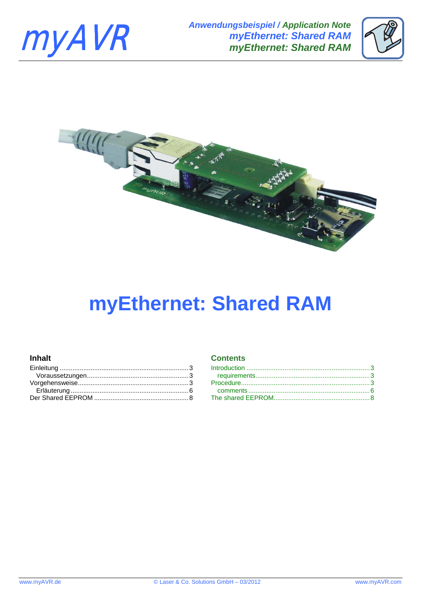





# **myEthernet: Shared RAM**

# **Inhalt** Contents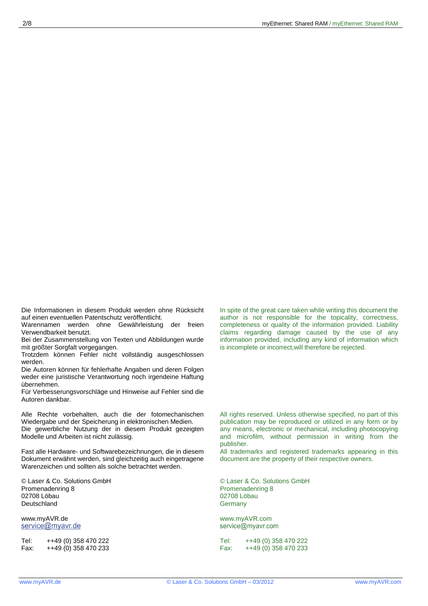Die Informationen in diesem Produkt werden ohne Rücksicht auf einen eventuellen Patentschutz veröffentlicht.

Warennamen werden ohne Gewährleistung der freien Verwendbarkeit benutzt.

Bei der Zusammenstellung von Texten und Abbildungen wurde mit größter Sorgfalt vorgegangen.

Trotzdem können Fehler nicht vollständig ausgeschlossen werden.

Die Autoren können für fehlerhafte Angaben und deren Folgen weder eine juristische Verantwortung noch irgendeine Haftung übernehmen.

Für Verbesserungsvorschläge und Hinweise auf Fehler sind die Autoren dankbar.

Alle Rechte vorbehalten, auch die der fotomechanischen Wiedergabe und der Speicherung in elektronischen Medien. Die gewerbliche Nutzung der in diesem Produkt gezeigten Modelle und Arbeiten ist nicht zulässig.

Fast alle Hardware- und Softwarebezeichnungen, die in diesem Dokument erwähnt werden, sind gleichzeitig auch eingetragene Warenzeichen und sollten als solche betrachtet werden.

© Laser & Co. Solutions GmbH Promenadenring 8 02708 Löbau **Deutschland** 

www.myAVR.de<br>service@myavr.de

Tel: ++49 (0) 358 470 222<br>Fax: ++49 (0) 358 470 233  $++49(0)$  358 470 233 In spite of the great care taken while writing this document the author is not responsible for the topicality, correctness, completeness or quality of the information provided. Liability claims regarding damage caused by the use of any information provided, including any kind of information which is incomplete or incorrect,will therefore be rejected.

All rights reserved. Unless otherwise specified, no part of this publication may be reproduced or utilized in any form or by any means, electronic or mechanical, including photocopying and microfilm, without permission in writing from the publisher.

All trademarks and registered trademarks appearing in this document are the property of their respective owners.

© Laser & Co. Solutions GmbH Promenadenring 8 02708 Löbau **Germany** 

www.myAVR.com<br>service@myavr.com

Tel: ++49 (0) 358 470 222<br>Fax: ++49 (0) 358 470 233  $+49(0)$  358 470 233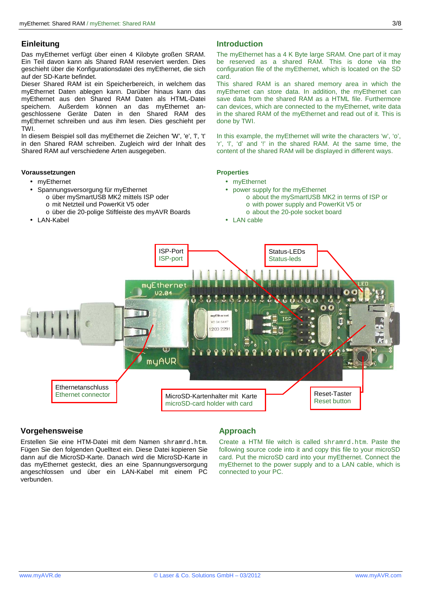Das myEthernet verfügt über einen 4 Kilobyte großen SRAM. Ein Teil davon kann als Shared RAM reserviert werden. Dies geschieht über die Konfigurationsdatei des myEthernet, die sich auf der SD-Karte befindet.

Dieser Shared RAM ist ein Speicherbereich, in welchem das myEthernet Daten ablegen kann. Darüber hinaus kann das myEthernet aus den Shared RAM Daten als HTML-Datei speichern. Außerdem können an das myEthernet angeschlossene Geräte Daten in den Shared RAM des myEthernet schreiben und aus ihm lesen. Dies geschieht per TWI.

In diesem Beispiel soll das myEthernet die Zeichen 'W', 'e', 'l', 't' in den Shared RAM schreiben. Zugleich wird der Inhalt des Shared RAM auf verschiedene Arten ausgegeben.

### **Voraussetzungen**

- myEthernet
- Spannungsversorgung für myEthernet
	- o über mySmartUSB MK2 mittels ISP oder
		- o mit Netzteil und PowerKit V5 oder
		- o über die 20-polige Stiftleiste des myAVR Boards
- LAN-Kabel

## **Einleitung Introduction and Einleitung Introduction**

The myEthernet has a 4 K Byte large SRAM. One part of it may be reserved as a shared RAM. This is done via the configuration file of the myEthernet, which is located on the SD card.

This shared RAM is an shared memory area in which the myEthernet can store data. In addition, the myEthernet can save data from the shared RAM as a HTML file. Furthermore can devices, which are connected to the myEthernet, write data in the shared RAM of the myEthernet and read out of it. This is done by TWI.

In this example, the myEthernet will write the characters 'w', 'o', 'r', 'l', 'd' and '!' in the shared RAM. At the same time, the content of the shared RAM will be displayed in different ways.

### **Properties**

- myEthernet
- power supply for the myEthernet
	- o about the mySmartUSB MK2 in terms of ISP or o with power supply and PowerKit V5 or
	- o about the 20-pole socket board
- LAN cable



### **Vorgehensweise Approach Approach**

Erstellen Sie eine HTM-Datei mit dem Namen shramrd.htm. Fügen Sie den folgenden Quelltext ein. Diese Datei kopieren Sie dann auf die MicroSD-Karte. Danach wird die MicroSD-Karte in das myEthernet gesteckt, dies an eine Spannungsversorgung angeschlossen und über ein LAN-Kabel mit einem PC verbunden.

Create a HTM file witch is called shramrd.htm. Paste the following source code into it and copy this file to your microSD card. Put the microSD card into your myEthernet. Connect the myEthernet to the power supply and to a LAN cable, which is connected to your PC.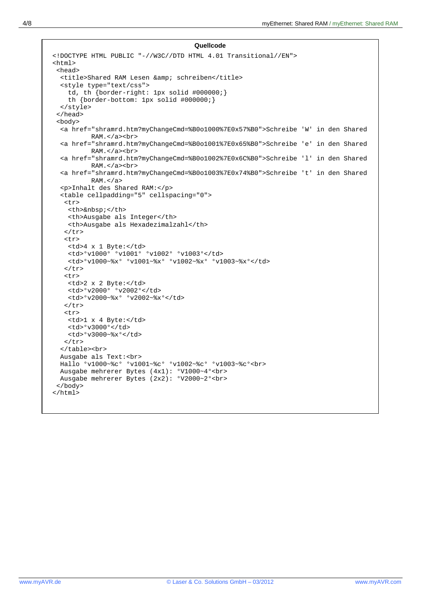```
Quellcode
<!DOCTYPE HTML PUBLIC "-//W3C//DTD HTML 4.01 Transitional//EN"> 
<h+ml> <head> 
 <title>Shared RAM Lesen & amp; schreiben</title>
   <style type="text/css"> 
     td, th {border-right: 1px solid #000000;} 
     th {border-bottom: 1px solid #000000;} 
   </style> 
  </head> 
  <body> 
   <a href="shramrd.htm?myChangeCmd=%B0o1000%7E0x57%B0">Schreibe 'W' in den Shared 
          RAM.</a><br> 
   <a href="shramrd.htm?myChangeCmd=%B0o1001%7E0x65%B0">Schreibe 'e' in den Shared 
          RAM.</a><br> 
   <a href="shramrd.htm?myChangeCmd=%B0o1002%7E0x6C%B0">Schreibe 'l' in den Shared 
          RAM.</a><br> 
   <a href="shramrd.htm?myChangeCmd=%B0o1003%7E0x74%B0">Schreibe 't' in den Shared 
          RAM. < /a <p>Inhalt des Shared RAM:</p> 
   <table cellpadding="5" cellspacing="0"> 
   <tr> 
    <th>&nbsp;</th>
     <th>Ausgabe als Integer</th> 
     <th>Ausgabe als Hexadezimalzahl</th> 
   \langletr>
    <tr> 
     <td>4 x 1 Byte:</td> 
     <td>°v1000° °v1001° °v1002° °v1003°</td> 
     <td>°v1000~%x° °v1001~%x° °v1002~%x° °v1003~%x°</td> 
   \langletr>
    <tr> 
    <td>2 x 2 Byte:</td> 
     <td>°v2000° °v2002°</td> 
     <td>°v2000~%x° °v2002~%x°</td> 
   \epsilon/tr>
    <tr> 
     <td>1 x 4 Byte:</td> 
     <td>°v3000°</td> 
     <td>°v3000~%x°</td> 
   \langle/tr>
   </table><br> 
  Ausgabe als Text:<br> 
  Hallo °v1000~%c° °v1001~%c° °v1002~%c° °v1003~%c°<br> 
  Ausgabe mehrerer Bytes (4x1): °V1000~4°<br> 
  Ausgabe mehrerer Bytes (2x2): °V2000~2°<br> 
  </body> 
</html>
```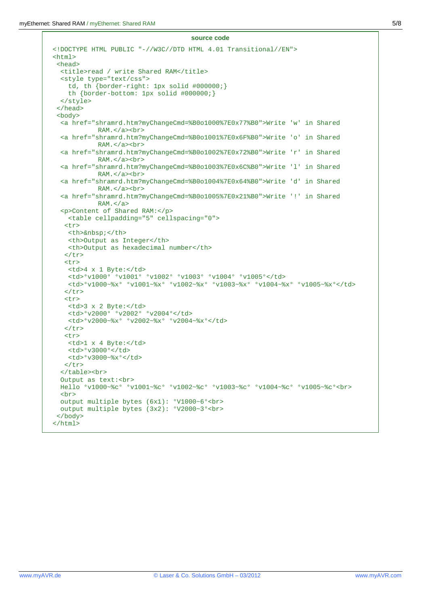```
source code
<!DOCTYPE HTML PUBLIC "-//W3C//DTD HTML 4.01 Transitional//EN"> 
<html> 
  <head> 
  <title>read / write Shared RAM</title>
   <style type="text/css"> 
     td, th {border-right: 1px solid #000000;} 
     th {border-bottom: 1px solid #000000;} 
  </style> 
  </head> 
  <body> 
  <a href="shramrd.htm?myChangeCmd=%B0o1000%7E0x77%B0">Write 'w' in Shared 
            RAM.</a><br> 
   <a href="shramrd.htm?myChangeCmd=%B0o1001%7E0x6F%B0">Write 'o' in Shared 
            RAM.</a><br> 
   <a href="shramrd.htm?myChangeCmd=%B0o1002%7E0x72%B0">Write 'r' in Shared 
            RAM.</a><br> 
   <a href="shramrd.htm?myChangeCmd=%B0o1003%7E0x6C%B0">Write 'l' in Shared 
            RAM.</a><br> 
   <a href="shramrd.htm?myChangeCmd=%B0o1004%7E0x64%B0">Write 'd' in Shared 
            RAM.</a><br> 
   <a href="shramrd.htm?myChangeCmd=%B0o1005%7E0x21%B0">Write '!' in Shared 
            RAM. < /a <p>Content of Shared RAM:</p> 
    <table cellpadding="5" cellspacing="0"> 
    <tr> 
    <th>&nbsp;</th>
    <th>Output as Integer</th> 
    <th>Output as hexadecimal number</th> 
   \langle/tr>
    <tr> 
     <td>4 x 1 Byte:</td> 
     <td>°v1000° °v1001° °v1002° °v1003° °v1004° °v1005°</td> 
     <td>°v1000~%x° °v1001~%x° °v1002~%x° °v1003~%x° °v1004~%x° °v1005~%x°</td> 
   \epsilon/tr>
    <tr> 
     <td>3 x 2 Byte:</td> 
     <td>°v2000° °v2002° °v2004°</td> 
     <td>°v2000~%x° °v2002~%x° °v2004~%x°</td> 
   \langletr>
    <tr> 
     <td>1 x 4 Byte:</td> 
    <td>%y3000%/td>
     <td>°v3000~%x°</td> 
   \langletr>
   </table><br> 
   Output as text:<br> 
  Hello °v1000~%c° °v1001~%c° °v1002~%c° °v1003~%c° °v1004~%c° °v1005~%c°<br> 
  <br>
  output multiple bytes (6x1): °V1000~6°<br> 
  output multiple bytes (3x2): °V2000~3°<br> 
  </body> 
</html>
```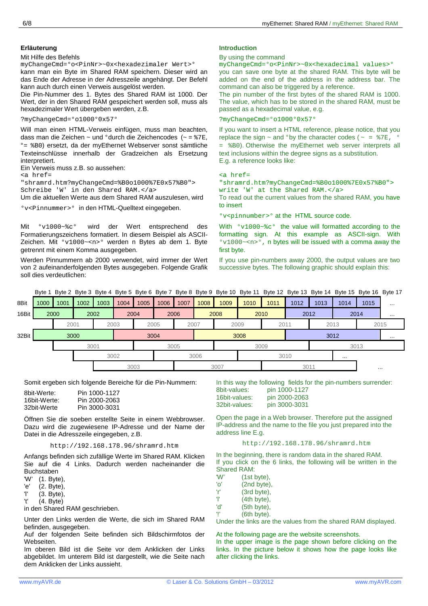Unter den Links werden die Werte, die sich im Shared RAM befinden, ausgegeben.

Auf der folgenden Seite befinden sich Bildschirmfotos der Webseiten.

Im oberen Bild ist die Seite vor dem Anklicken der Links abgebildet. Im unterem Bild ist dargestellt, wie die Seite nach dem Anklicken der Links aussieht.

**Erläuterung Introduction intervention intervention introduction introduction** 

### By using the command

myChangeCmd=°o<PinNr>~0x<hexadecimal values>° you can save one byte at the shared RAM. This byte will be added on the end of the address in the address bar. The command can also be triggered by a reference.

The pin number of the first bytes of the shared RAM is 1000. The value, which has to be stored in the shared RAM, must be passed as a hexadecimal value, e.g.

?myChangeCmd=°o1000°0x57°

If you want to insert a HTML reference, please notice, that you replace the sign  $\sim$  and °by the character codes ( $\sim$  =  $\frac{1}{8}$ 7E,  $\sim$ = %B0). Otherwise the myEthernet web server interprets all text inclusions within the degree signs as a substitution. E.g. a reference looks like:

### <a href=

"shramrd.htm?myChangeCmd=%B0o1000%7E0x57%B0"> write 'W' at the Shared RAM.</a>

To read out the current values from the shared RAM, you have to insert

°v<pinnumber>° at the HTML source code.

With °v1000~%c° the value will formatted according to the formatting sign. At this example as ASCII-sign. With  $\frac{\text{1000} - \text{100}}{\text{m}}$   $\cdot$  n bytes will be issued with a comma away the first byte.

If you use pin-numbers away 2000, the output values are two successive bytes. The following graphic should explain this:

Byte 1 Byte 2 Byte 3 Byte 4 Byte 5 Byte 6 Byte 7 Byte 8 Byte 9 Byte 10 Byte 11 Byte 12 Byte 13 Byte 14 Byte 15 Byte 16 Byte 17

| 8Bit  | 1000 | 1001 | 1002 | 1003 | 1004 | 1005 | 1006 | 1007 | 1008 | 1009 | 1010 | 1011 | 1012 | 1013 | 1014     | 1015     | $\cdots$ |
|-------|------|------|------|------|------|------|------|------|------|------|------|------|------|------|----------|----------|----------|
| 16Bit | 2000 |      |      | 2002 |      | 2004 | 2006 |      |      | 2008 |      | 2010 | 2012 |      |          | 2014     |          |
|       |      | 2001 |      |      | 2003 |      | 2005 | 2007 |      | 2009 |      | 2011 |      | 2013 |          | 2015     |          |
| 32Bit |      |      | 3000 |      |      |      | 3004 |      |      |      | 3008 |      |      | 3012 |          |          |          |
|       |      |      | 3001 |      |      |      | 3005 |      |      |      |      | 3009 |      |      |          | 3013     |          |
|       |      |      |      |      | 3002 |      |      |      | 3006 |      |      | 3010 |      |      | $\cdots$ |          |          |
|       |      |      |      |      |      | 3003 |      |      |      | 3007 |      |      | 3011 |      |          | $\cdots$ |          |

Somit ergeben sich folgende Bereiche für die Pin-Nummern:

| 8bit-Werte:  | Pin 1000-1127 |
|--------------|---------------|
| 16bit-Werte: | Pin 2000-2063 |
| 32bit-Werte  | Pin 3000-3031 |

Öffnen Sie die soeben erstellte Seite in einem Webbrowser. Dazu wird die zugewiesene IP-Adresse und der Name der Datei in die Adresszeile eingegeben, z.B.

http://192.168.178.96/shramrd.htm

Anfangs befinden sich zufällige Werte im Shared RAM. Klicken Sie auf die 4 Links. Dadurch werden nacheinander die Buchstaben

'W' (1. Byte),

'e' (2. Byte),

'l' (3. Byte),

't' (4. Byte)

in den Shared RAM geschrieben.

'o' (2nd byte),<br>'r' (3rd byte), 'r' (3rd byte),<br>'l' (4th byte), (4th byte), 'd' (5th byte),

- '!' (6th byte).
	- Under the links are the values from the shared RAM displayed.

In this way the following fields for the pin-numbers surrender:

Open the page in a Web browser. Therefore put the assigned IP-address and the name to the file you just prepared into the

http://192.168.178.96/shramrd.htm In the beginning, there is random data in the shared RAM. If you click on the 6 links, the following will be written in the

pin 3000-3031

8bit-values: pin 1000-1127 16bit-values: pin 2000-2063

address line E.g.

Shared RAM:<br>'W' (1st b

 $(1st byte)$ .

At the following page are the website screenshots. In the upper image is the page shown before clicking on the

links. In the picture below it shows how the page looks like after clicking the links.

Mit Hilfe des Befehls

interpretiert.

<a href=

myChangeCmd=°o<PinNr>~0x<hexadezimaler Wert>° kann man ein Byte im Shared RAM speichern. Dieser wird an das Ende der Adresse in der Adresszeile angehängt. Der Befehl

Die Pin-Nummer des 1. Bytes des Shared RAM ist 1000. Der Wert, der in den Shared RAM gespeichert werden soll, muss als

Will man einen HTML-Verweis einfügen, muss man beachten, dass man die Zeichen ~ und ° durch die Zeichencodes (~ =  $87E$ , ° = %B0) ersetzt, da der myEthernet Webserver sonst sämtliche Texteinschlüsse innerhalb der Gradzeichen als Ersetzung

"shramrd.htm?myChangeCmd=%B0o1000%7E0x57%B0">

°v<Pinnummer>° in den HTML-Quelltext eingegeben.

Um die aktuellen Werte aus dem Shared RAM auszulesen, wird

Mit °v1000~%c° wird der Wert entsprechend des Formatierungszeichens formatiert. In diesem Beispiel als ASCII-Zeichen. Mit °v1000~<n>° werden n Bytes ab dem 1. Byte

Werden Pinnummern ab 2000 verwendet, wird immer der Wert von 2 aufeinanderfolgenden Bytes ausgegeben. Folgende Grafik

kann auch durch einen Verweis ausgelöst werden.

hexadezimaler Wert übergeben werden, z.B.

Schreibe 'W' in den Shared RAM.</a>

getrennt mit einem Komma ausgegeben.

soll dies verdeutlichen:

?myChangeCmd=°o1000°0x57°

Ein Verweis muss z.B. so aussehen: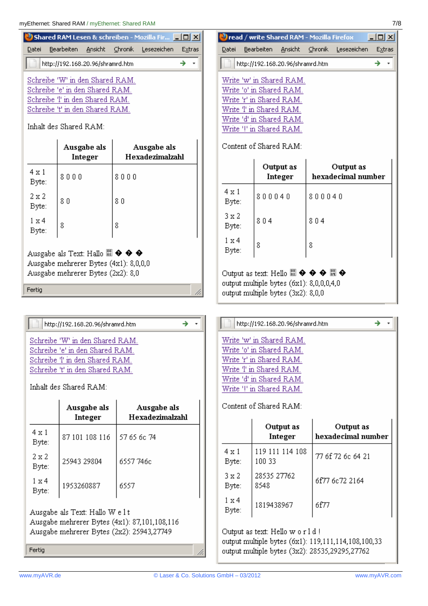|                                                                                                                                                          | <b>IVE THEITHEI. SHATED RAIN</b> / ITTY ETHEITHEI. SHATED RAIN |                                                   |        |  |  |  |  |
|----------------------------------------------------------------------------------------------------------------------------------------------------------|----------------------------------------------------------------|---------------------------------------------------|--------|--|--|--|--|
|                                                                                                                                                          |                                                                | Shared RAM Lesen & schreiben - Mozilla Fir   10 X |        |  |  |  |  |
| Datei                                                                                                                                                    | Bearbeiten Ansicht                                             | Chronik Lesezeichen                               | Extras |  |  |  |  |
|                                                                                                                                                          | http://192.168.20.96/shramrd.htm                               | →                                                 |        |  |  |  |  |
| Schreibe 'W' in den Shared RAM.<br>Schreibe 'e' in den Shared RAM.<br>Schreibe T in den Shared RAM.<br>Schreibe 't' in den Shared RAM.                   |                                                                |                                                   |        |  |  |  |  |
|                                                                                                                                                          | Inhalt des Shared RAM:                                         |                                                   |        |  |  |  |  |
| Ausgabe als<br>Ausgabe als<br>Hexadezimalzahl<br>Integer                                                                                                 |                                                                |                                                   |        |  |  |  |  |
| 4 x 1<br>Byte:                                                                                                                                           | 8000                                                           | 8000                                              |        |  |  |  |  |
| $2 \times 2$<br>Byte:                                                                                                                                    | 80                                                             | 80                                                |        |  |  |  |  |
| $1 \times 4$<br>Byte:                                                                                                                                    | 8                                                              | 8                                                 |        |  |  |  |  |
| Ausgabe als Text: Hallo $\mathbb{S}\rightarrow \mathbb{Q}$ $\blacklozenge$<br>Ausgabe mehrerer Bytes (4x1): 8,0,0,0<br>Ausgabe mehrerer Bytes (2x2): 8,0 |                                                                |                                                   |        |  |  |  |  |
| Fertia                                                                                                                                                   |                                                                |                                                   |        |  |  |  |  |

http://192.168.20.96/shramrd.htm

→  $^\star$ 

h,

Schreibe 'W' in den Shared RAM. Schreibe 'e' in den Shared RAM. Schreibe T in den Shared RAM. Schreibe 't' in den Shared RAM.

Inhalt des Shared RAM:

|                                                                                                                              | Ausgabe als<br>Integer | Ausgabe als<br>Hexadezimalzahl |  |  |  |
|------------------------------------------------------------------------------------------------------------------------------|------------------------|--------------------------------|--|--|--|
| 4 x 1<br>Byte:                                                                                                               | 87 101 108 116         | 57 65 6c 74                    |  |  |  |
| 2 x 2<br>Byte:                                                                                                               | 25943 29804            | 6557 746c                      |  |  |  |
| $1 \times 4$<br>Byte:                                                                                                        | 1953260887             | 6557                           |  |  |  |
| Ausgabe als Text: Hallo W e l t<br>Ausgabe mehrerer Bytes (4x1): 87,101,108,116<br>Ausgabe mehrerer Bytes (2x2): 25943,27749 |                        |                                |  |  |  |

Fertig

|       | <b>2</b> read / write Shared RAM - Mozilla Firefox |  |                                        | -10 |        |
|-------|----------------------------------------------------|--|----------------------------------------|-----|--------|
| Datei |                                                    |  | Bearbeiten Ansicht Chronik Lesezeichen |     | Extras |
|       | http://192.168.20.96/shramrd.htm                   |  |                                        |     |        |
|       | Write 'w' in Shared RAM.                           |  |                                        |     |        |
|       | Write 'o' in Shared RAM.                           |  |                                        |     |        |
|       | Write 'r' in Shared RAM.                           |  |                                        |     |        |
|       | Write T in Shared RAM.                             |  |                                        |     |        |
|       | Write 'd' in Shared RAM.                           |  |                                        |     |        |
|       | Write '!' in Shared RAM.                           |  |                                        |     |        |
|       |                                                    |  |                                        |     |        |

Content of Shared RAM:

|                                                                                                                                                                                                   | Output as<br>Integer | Output as<br>hexadecimal number |  |  |  |  |
|---------------------------------------------------------------------------------------------------------------------------------------------------------------------------------------------------|----------------------|---------------------------------|--|--|--|--|
| 4 x 1<br>Byte:                                                                                                                                                                                    | 800040               | 800040                          |  |  |  |  |
| 3 x 2<br>Byte:                                                                                                                                                                                    | 804                  | 804                             |  |  |  |  |
| 1 x 4<br>Byte:                                                                                                                                                                                    | 8                    | 8                               |  |  |  |  |
| Output as text: Hello $\mathbb{S}\mathbb{I} \oplus \mathbb{S} \oplus \mathbb{S}$ $\mathbb{S} \oplus \mathbb{S}$<br>output multiple bytes (6x1): 8,0,0,0,4,0<br>output multiple bytes (3x2): 8,0,0 |                      |                                 |  |  |  |  |

| http://192.168.20.96/shramrd.htm   |  |
|------------------------------------|--|
| Write 'w' in Shared RAM.           |  |
| Write 'o' in Shared RAM.           |  |
| Write 'r' in Shared RAM.           |  |
| Write T in Shared RAM.             |  |
| Write 'd' in Shared RAM.           |  |
| Write '!' in Shared RAM.           |  |
| Content of Shared $\mathsf{RAM}^c$ |  |

|                | Output as<br>Integer      | Output as<br>hexadecimal number |
|----------------|---------------------------|---------------------------------|
| 4 x 1<br>Byte: | 119 111 114 108<br>100 33 | 77 6f 72 6c 64 21               |
| 3 x 2<br>Byte: | 28535 27762<br>8548       | 6f77 6c72 2164                  |
| 1 x 4          | 1819438967                | 6f77                            |

Output as text: Hello world!

output multiple bytes (6x1): 119,111,114,108,100,33 output multiple bytes (3x2): 28535,29295,27762